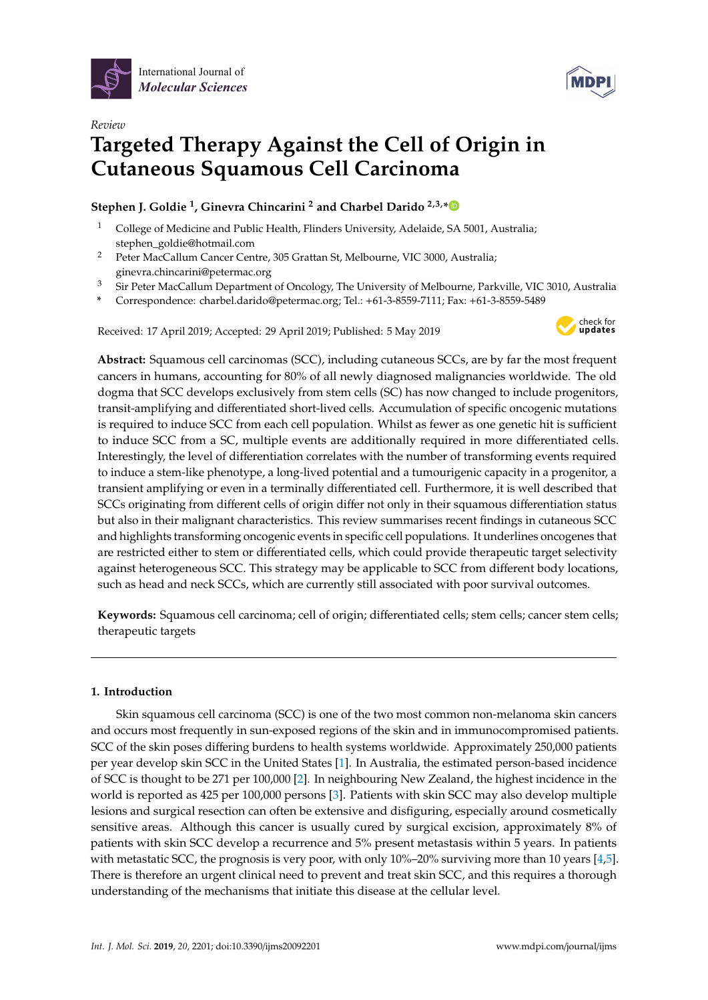



# *Review* **Targeted Therapy Against the Cell of Origin in Cutaneous Squamous Cell Carcinoma**

# **Stephen J. Goldie <sup>1</sup> , Ginevra Chincarini <sup>2</sup> and Charbel Darido 2,3,[\\*](https://orcid.org/0000-0002-6541-324X)**

- <sup>1</sup> College of Medicine and Public Health, Flinders University, Adelaide, SA 5001, Australia; stephen\_goldie@hotmail.com
- <sup>2</sup> Peter MacCallum Cancer Centre, 305 Grattan St, Melbourne, VIC 3000, Australia; ginevra.chincarini@petermac.org
- <sup>3</sup> Sir Peter MacCallum Department of Oncology, The University of Melbourne, Parkville, VIC 3010, Australia
- **\*** Correspondence: charbel.darido@petermac.org; Tel.: +61-3-8559-7111; Fax: +61-3-8559-5489

Received: 17 April 2019; Accepted: 29 April 2019; Published: 5 May 2019



**Abstract:** Squamous cell carcinomas (SCC), including cutaneous SCCs, are by far the most frequent cancers in humans, accounting for 80% of all newly diagnosed malignancies worldwide. The old dogma that SCC develops exclusively from stem cells (SC) has now changed to include progenitors, transit-amplifying and differentiated short-lived cells. Accumulation of specific oncogenic mutations is required to induce SCC from each cell population. Whilst as fewer as one genetic hit is sufficient to induce SCC from a SC, multiple events are additionally required in more differentiated cells. Interestingly, the level of differentiation correlates with the number of transforming events required to induce a stem-like phenotype, a long-lived potential and a tumourigenic capacity in a progenitor, a transient amplifying or even in a terminally differentiated cell. Furthermore, it is well described that SCCs originating from different cells of origin differ not only in their squamous differentiation status but also in their malignant characteristics. This review summarises recent findings in cutaneous SCC and highlights transforming oncogenic events in specific cell populations. It underlines oncogenes that are restricted either to stem or differentiated cells, which could provide therapeutic target selectivity against heterogeneous SCC. This strategy may be applicable to SCC from different body locations, such as head and neck SCCs, which are currently still associated with poor survival outcomes.

**Keywords:** Squamous cell carcinoma; cell of origin; differentiated cells; stem cells; cancer stem cells; therapeutic targets

# **1. Introduction**

Skin squamous cell carcinoma (SCC) is one of the two most common non-melanoma skin cancers and occurs most frequently in sun-exposed regions of the skin and in immunocompromised patients. SCC of the skin poses differing burdens to health systems worldwide. Approximately 250,000 patients per year develop skin SCC in the United States [\[1\]](#page-7-0). In Australia, the estimated person-based incidence of SCC is thought to be 271 per 100,000 [\[2\]](#page-7-1). In neighbouring New Zealand, the highest incidence in the world is reported as 425 per 100,000 persons [\[3\]](#page-7-2). Patients with skin SCC may also develop multiple lesions and surgical resection can often be extensive and disfiguring, especially around cosmetically sensitive areas. Although this cancer is usually cured by surgical excision, approximately 8% of patients with skin SCC develop a recurrence and 5% present metastasis within 5 years. In patients with metastatic SCC, the prognosis is very poor, with only 10%–20% surviving more than 10 years [\[4](#page-7-3)[,5\]](#page-7-4). There is therefore an urgent clinical need to prevent and treat skin SCC, and this requires a thorough understanding of the mechanisms that initiate this disease at the cellular level.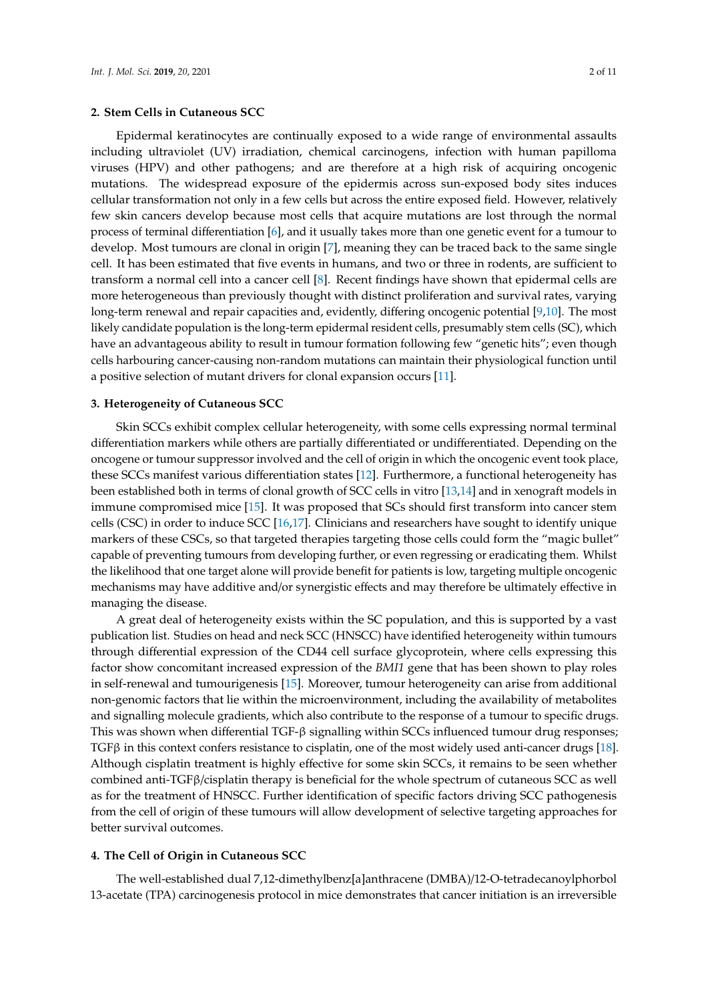Epidermal keratinocytes are continually exposed to a wide range of environmental assaults including ultraviolet (UV) irradiation, chemical carcinogens, infection with human papilloma viruses (HPV) and other pathogens; and are therefore at a high risk of acquiring oncogenic mutations. The widespread exposure of the epidermis across sun-exposed body sites induces cellular transformation not only in a few cells but across the entire exposed field. However, relatively few skin cancers develop because most cells that acquire mutations are lost through the normal process of terminal differentiation [\[6\]](#page-7-5), and it usually takes more than one genetic event for a tumour to develop. Most tumours are clonal in origin [\[7\]](#page-7-6), meaning they can be traced back to the same single cell. It has been estimated that five events in humans, and two or three in rodents, are sufficient to transform a normal cell into a cancer cell [\[8\]](#page-7-7). Recent findings have shown that epidermal cells are more heterogeneous than previously thought with distinct proliferation and survival rates, varying long-term renewal and repair capacities and, evidently, differing oncogenic potential [\[9](#page-7-8)[,10\]](#page-7-9). The most likely candidate population is the long-term epidermal resident cells, presumably stem cells (SC), which have an advantageous ability to result in tumour formation following few "genetic hits"; even though cells harbouring cancer-causing non-random mutations can maintain their physiological function until a positive selection of mutant drivers for clonal expansion occurs [\[11\]](#page-7-10).

#### **3. Heterogeneity of Cutaneous SCC**

Skin SCCs exhibit complex cellular heterogeneity, with some cells expressing normal terminal differentiation markers while others are partially differentiated or undifferentiated. Depending on the oncogene or tumour suppressor involved and the cell of origin in which the oncogenic event took place, these SCCs manifest various differentiation states [\[12\]](#page-7-11). Furthermore, a functional heterogeneity has been established both in terms of clonal growth of SCC cells in vitro [\[13,](#page-7-12)[14\]](#page-8-0) and in xenograft models in immune compromised mice [\[15\]](#page-8-1). It was proposed that SCs should first transform into cancer stem cells (CSC) in order to induce SCC [\[16](#page-8-2)[,17\]](#page-8-3). Clinicians and researchers have sought to identify unique markers of these CSCs, so that targeted therapies targeting those cells could form the "magic bullet" capable of preventing tumours from developing further, or even regressing or eradicating them. Whilst the likelihood that one target alone will provide benefit for patients is low, targeting multiple oncogenic mechanisms may have additive and/or synergistic effects and may therefore be ultimately effective in managing the disease.

A great deal of heterogeneity exists within the SC population, and this is supported by a vast publication list. Studies on head and neck SCC (HNSCC) have identified heterogeneity within tumours through differential expression of the CD44 cell surface glycoprotein, where cells expressing this factor show concomitant increased expression of the *BMI1* gene that has been shown to play roles in self-renewal and tumourigenesis [\[15\]](#page-8-1). Moreover, tumour heterogeneity can arise from additional non-genomic factors that lie within the microenvironment, including the availability of metabolites and signalling molecule gradients, which also contribute to the response of a tumour to specific drugs. This was shown when differential TGF-β signalling within SCCs influenced tumour drug responses; TGFβ in this context confers resistance to cisplatin, one of the most widely used anti-cancer drugs [\[18\]](#page-8-4). Although cisplatin treatment is highly effective for some skin SCCs, it remains to be seen whether combined anti-TGFβ/cisplatin therapy is beneficial for the whole spectrum of cutaneous SCC as well as for the treatment of HNSCC. Further identification of specific factors driving SCC pathogenesis from the cell of origin of these tumours will allow development of selective targeting approaches for better survival outcomes.

#### **4. The Cell of Origin in Cutaneous SCC**

The well-established dual 7,12-dimethylbenz[a]anthracene (DMBA)/12-O-tetradecanoylphorbol 13-acetate (TPA) carcinogenesis protocol in mice demonstrates that cancer initiation is an irreversible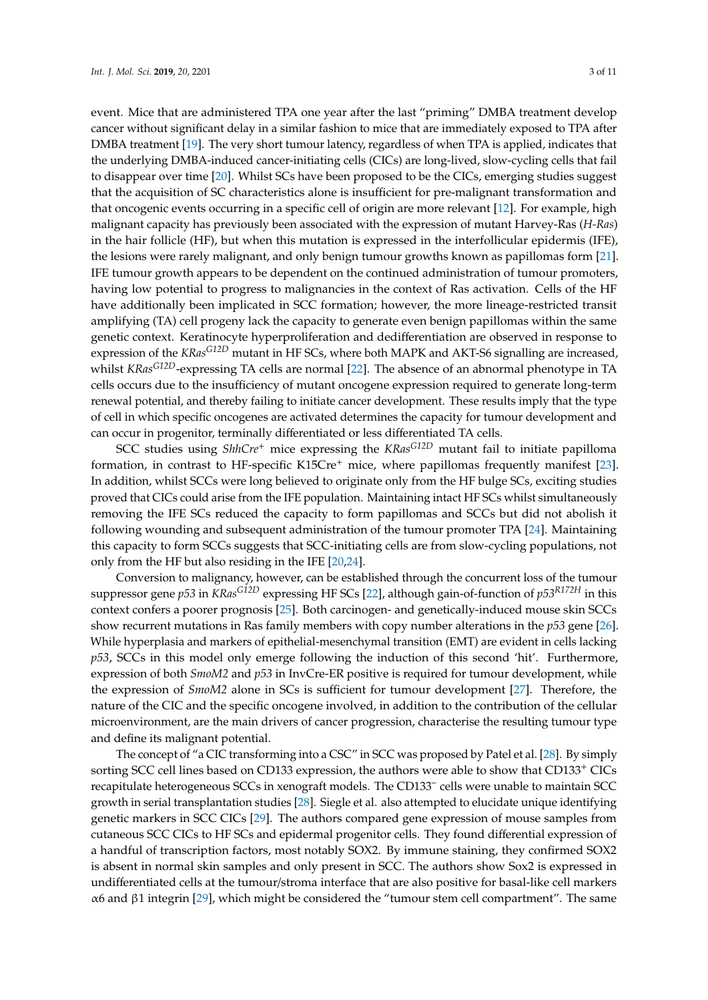event. Mice that are administered TPA one year after the last "priming" DMBA treatment develop cancer without significant delay in a similar fashion to mice that are immediately exposed to TPA after DMBA treatment [\[19\]](#page-8-5). The very short tumour latency, regardless of when TPA is applied, indicates that the underlying DMBA-induced cancer-initiating cells (CICs) are long-lived, slow-cycling cells that fail to disappear over time [\[20\]](#page-8-6). Whilst SCs have been proposed to be the CICs, emerging studies suggest that the acquisition of SC characteristics alone is insufficient for pre-malignant transformation and that oncogenic events occurring in a specific cell of origin are more relevant [\[12\]](#page-7-11). For example, high malignant capacity has previously been associated with the expression of mutant Harvey-Ras (*H-Ras*) in the hair follicle (HF), but when this mutation is expressed in the interfollicular epidermis (IFE), the lesions were rarely malignant, and only benign tumour growths known as papillomas form [\[21\]](#page-8-7). IFE tumour growth appears to be dependent on the continued administration of tumour promoters, having low potential to progress to malignancies in the context of Ras activation. Cells of the HF have additionally been implicated in SCC formation; however, the more lineage-restricted transit amplifying (TA) cell progeny lack the capacity to generate even benign papillomas within the same genetic context. Keratinocyte hyperproliferation and dedifferentiation are observed in response to expression of the *KRasG12D* mutant in HF SCs, where both MAPK and AKT-S6 signalling are increased, whilst *KRasG12D*-expressing TA cells are normal [\[22\]](#page-8-8). The absence of an abnormal phenotype in TA cells occurs due to the insufficiency of mutant oncogene expression required to generate long-term renewal potential, and thereby failing to initiate cancer development. These results imply that the type of cell in which specific oncogenes are activated determines the capacity for tumour development and can occur in progenitor, terminally differentiated or less differentiated TA cells.

SCC studies using *ShhCre*<sup>+</sup> mice expressing the *KRasG12D* mutant fail to initiate papilloma formation, in contrast to HF-specific K15Cre<sup>+</sup> mice, where papillomas frequently manifest [\[23\]](#page-8-9). In addition, whilst SCCs were long believed to originate only from the HF bulge SCs, exciting studies proved that CICs could arise from the IFE population. Maintaining intact HF SCs whilst simultaneously removing the IFE SCs reduced the capacity to form papillomas and SCCs but did not abolish it following wounding and subsequent administration of the tumour promoter TPA [\[24\]](#page-8-10). Maintaining this capacity to form SCCs suggests that SCC-initiating cells are from slow-cycling populations, not only from the HF but also residing in the IFE [\[20,](#page-8-6)[24\]](#page-8-10).

Conversion to malignancy, however, can be established through the concurrent loss of the tumour suppressor gene *p53* in *KRasG12D* expressing HF SCs [\[22\]](#page-8-8), although gain-of-function of *p53R172H* in this context confers a poorer prognosis [\[25\]](#page-8-11). Both carcinogen- and genetically-induced mouse skin SCCs show recurrent mutations in Ras family members with copy number alterations in the *p53* gene [\[26\]](#page-8-12). While hyperplasia and markers of epithelial-mesenchymal transition (EMT) are evident in cells lacking *p53*, SCCs in this model only emerge following the induction of this second 'hit'. Furthermore, expression of both *SmoM2* and *p53* in InvCre-ER positive is required for tumour development, while the expression of *SmoM2* alone in SCs is sufficient for tumour development [\[27\]](#page-8-13). Therefore, the nature of the CIC and the specific oncogene involved, in addition to the contribution of the cellular microenvironment, are the main drivers of cancer progression, characterise the resulting tumour type and define its malignant potential.

The concept of "a CIC transforming into a CSC" in SCC was proposed by Patel et al. [\[28\]](#page-8-14). By simply sorting SCC cell lines based on CD133 expression, the authors were able to show that CD133<sup>+</sup> CICs recapitulate heterogeneous SCCs in xenograft models. The CD133<sup>-</sup> cells were unable to maintain SCC growth in serial transplantation studies [\[28\]](#page-8-14). Siegle et al. also attempted to elucidate unique identifying genetic markers in SCC CICs [\[29\]](#page-8-15). The authors compared gene expression of mouse samples from cutaneous SCC CICs to HF SCs and epidermal progenitor cells. They found differential expression of a handful of transcription factors, most notably SOX2. By immune staining, they confirmed SOX2 is absent in normal skin samples and only present in SCC. The authors show Sox2 is expressed in undifferentiated cells at the tumour/stroma interface that are also positive for basal-like cell markers  $α6$  and  $β1$  integrin [\[29\]](#page-8-15), which might be considered the "tumour stem cell compartment". The same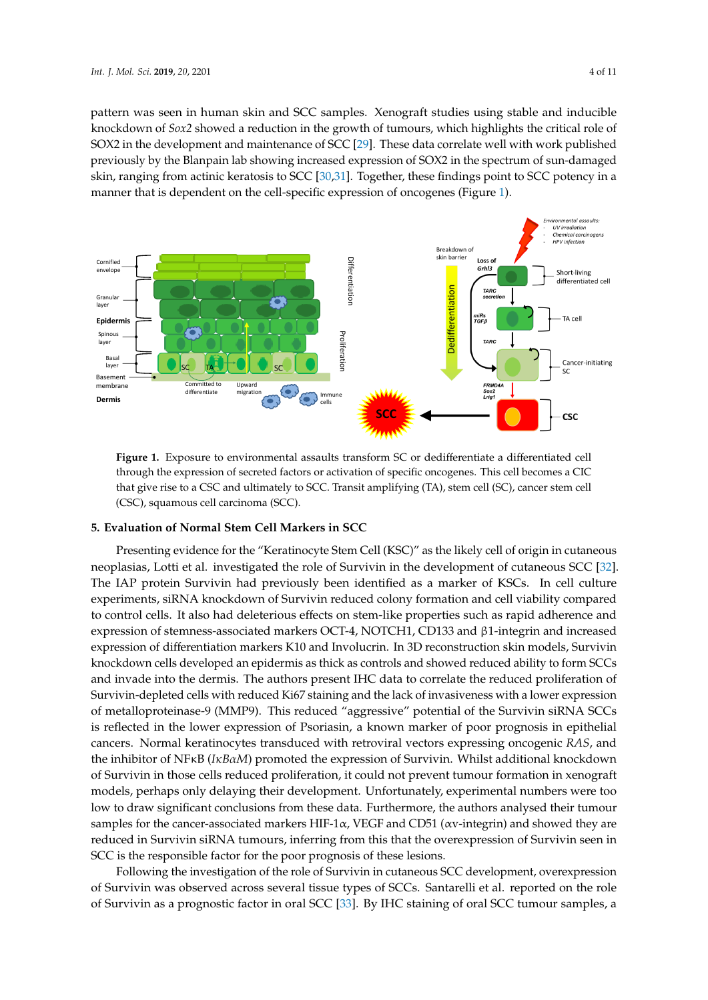pattern was seen in human skin and SCC samples. Xenograft studies using stable and inducible n<br>knockdown of *Sox2* showed a reduction in the growth of tumours, which highlights the critical role of SOX2 in the development and maintenance of SCC [\[29\]](#page-8-15). These data correlate well with work published previously by the Blanpain lab showing increased expression of SOX2 in the spectrum of sun-damaged skin, ranging from actinic keratosis to SCC [\[30,](#page-8-16)[31\]](#page-8-17). Together, these findings point to SCC potency in a manner that is dependent on the cell-specific expression of oncogenes (Figure [1\)](#page-3-0).

<span id="page-3-0"></span>

**Figure 1.** Exposure to environmental assaults transform SCC. through the expression of secreted factors or activation of specific or activation of specific oncogenes. This cell becomes a  $C$ **Figure 1.** Exposure to environmental assaults transform SC or dedifferentiate a differentiated cell through the expression of secreted factors or activation of specific oncogenes. This cell becomes a CIC that give rise to a CSC and ultimately to SCC. Transit amplifying (TA), stem cell (SC), cancer stem cell

#### **5. Evaluation of Normal Stem Cell Markers in SCC**

Presenting evidence for the "Keratinocyte Stem Cell (KSC)" as the likely cell of origin in cutaneous neoplasias, Lotti et al. investigated the role of Survivin in the development of cutaneous SCC [\[32\]](#page-8-18).<br>The Line of the contract of the contract of the contract of the contract of the contract of the contract of the experiments, siRNA knockdown of Survivin reduced colony formation and cell viability compared to control cells. It also had deleterious effects on stem-like properties such as rapid adherence and expression of stemness-associated markers OCT-4, NOTCH1, CD133 and β1-integrin and increased expression of differentiation markers K10 and Involucrin. In 3D reconstruction skin models, Survivin knockdown cells developed an epidermis as thick as controls and showed reduced ability to form SCCs and invade into the dermis. The authors present IHC data to correlate the reduced proliferation of Survivin-depleted cells with reduced Ki67 staining and the lack of invasiveness with a lower expression of metalloproteinase-9 (MMP9). This reduced "aggressive" potential of the Survivin siRNA SCCs is reflected in the lower expression of Psoriasin, a known marker of poor prognosis in epithelial cancers. Normal keratinocytes transduced with retroviral vectors expressing oncogenic *RAS*, and the inhibitor of NFκB (*IκBαM*) promoted the expression of Survivin. Whilst additional knockdown of Survivin in those cells reduced proliferation, it could not prevent tumour formation in xenograft models, perhaps only delaying their development. Unfortunately, experimental numbers were too low to draw significant conclusions from these data. Furthermore, the authors analysed their tumour samples for the cancer-associated markers HIF-1 $\alpha$ , VEGF and CD51 ( $\alpha$ v-integrin) and showed they are reduced in Survivin siRNA tumours, inferring from this that the overexpression of Survivin seen in SCC is the responsible factor for the poor prognosis of these lesions. The IAP protein Survivin had previously been identified as a marker of KSCs. In cell culture

Following the investigation of the role of Survivin in cutaneous SCC development, overexpression of Survivin was observed across several tissue types of SCCs. Santarelli et al. reported on the role of Survivin as a prognostic factor in oral SCC [33]. By IHC staining of oral SCC tumour samples, a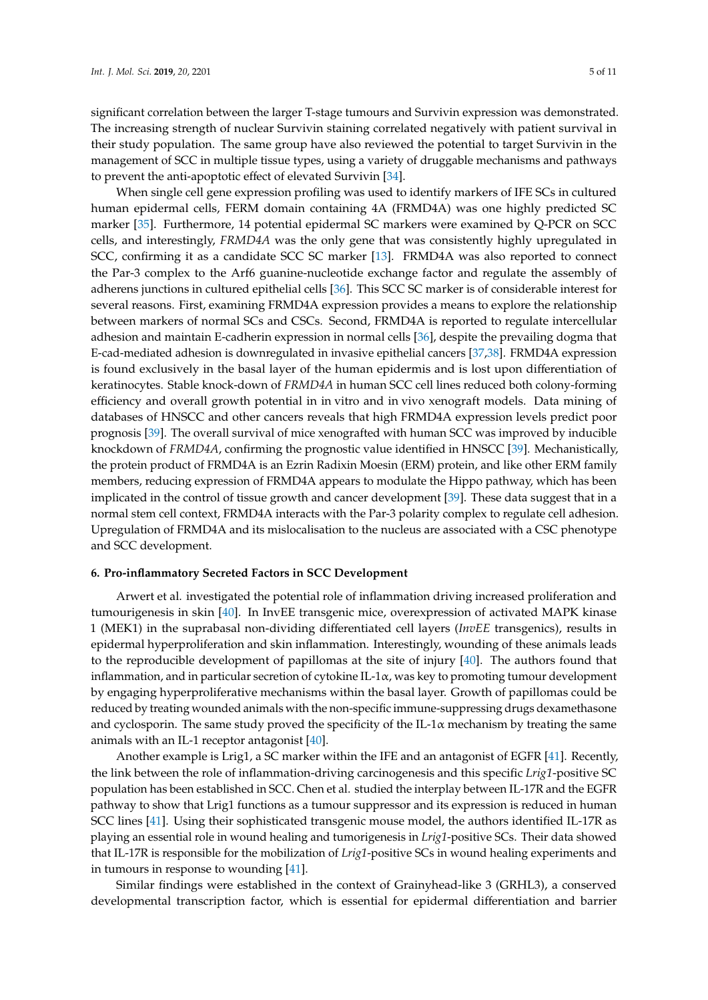significant correlation between the larger T-stage tumours and Survivin expression was demonstrated. The increasing strength of nuclear Survivin staining correlated negatively with patient survival in their study population. The same group have also reviewed the potential to target Survivin in the management of SCC in multiple tissue types, using a variety of druggable mechanisms and pathways to prevent the anti-apoptotic effect of elevated Survivin [\[34\]](#page-8-20).

When single cell gene expression profiling was used to identify markers of IFE SCs in cultured human epidermal cells, FERM domain containing 4A (FRMD4A) was one highly predicted SC marker [\[35\]](#page-8-21). Furthermore, 14 potential epidermal SC markers were examined by Q-PCR on SCC cells, and interestingly, *FRMD4A* was the only gene that was consistently highly upregulated in SCC, confirming it as a candidate SCC SC marker [\[13\]](#page-7-12). FRMD4A was also reported to connect the Par-3 complex to the Arf6 guanine-nucleotide exchange factor and regulate the assembly of adherens junctions in cultured epithelial cells [\[36\]](#page-9-0). This SCC SC marker is of considerable interest for several reasons. First, examining FRMD4A expression provides a means to explore the relationship between markers of normal SCs and CSCs. Second, FRMD4A is reported to regulate intercellular adhesion and maintain E-cadherin expression in normal cells [\[36\]](#page-9-0), despite the prevailing dogma that E-cad-mediated adhesion is downregulated in invasive epithelial cancers [\[37](#page-9-1)[,38\]](#page-9-2). FRMD4A expression is found exclusively in the basal layer of the human epidermis and is lost upon differentiation of keratinocytes. Stable knock-down of *FRMD4A* in human SCC cell lines reduced both colony-forming efficiency and overall growth potential in in vitro and in vivo xenograft models. Data mining of databases of HNSCC and other cancers reveals that high FRMD4A expression levels predict poor prognosis [\[39\]](#page-9-3). The overall survival of mice xenografted with human SCC was improved by inducible knockdown of *FRMD4A*, confirming the prognostic value identified in HNSCC [\[39\]](#page-9-3). Mechanistically, the protein product of FRMD4A is an Ezrin Radixin Moesin (ERM) protein, and like other ERM family members, reducing expression of FRMD4A appears to modulate the Hippo pathway, which has been implicated in the control of tissue growth and cancer development [\[39\]](#page-9-3). These data suggest that in a normal stem cell context, FRMD4A interacts with the Par-3 polarity complex to regulate cell adhesion. Upregulation of FRMD4A and its mislocalisation to the nucleus are associated with a CSC phenotype and SCC development.

#### **6. Pro-inflammatory Secreted Factors in SCC Development**

Arwert et al. investigated the potential role of inflammation driving increased proliferation and tumourigenesis in skin [\[40\]](#page-9-4). In InvEE transgenic mice, overexpression of activated MAPK kinase 1 (MEK1) in the suprabasal non-dividing differentiated cell layers (*InvEE* transgenics), results in epidermal hyperproliferation and skin inflammation. Interestingly, wounding of these animals leads to the reproducible development of papillomas at the site of injury [\[40\]](#page-9-4). The authors found that inflammation, and in particular secretion of cytokine IL-1 $\alpha$ , was key to promoting tumour development by engaging hyperproliferative mechanisms within the basal layer. Growth of papillomas could be reduced by treating wounded animals with the non-specific immune-suppressing drugs dexamethasone and cyclosporin. The same study proved the specificity of the IL-1 $\alpha$  mechanism by treating the same animals with an IL-1 receptor antagonist [\[40\]](#page-9-4).

Another example is Lrig1, a SC marker within the IFE and an antagonist of EGFR [\[41\]](#page-9-5). Recently, the link between the role of inflammation-driving carcinogenesis and this specific *Lrig1*-positive SC population has been established in SCC. Chen et al. studied the interplay between IL-17R and the EGFR pathway to show that Lrig1 functions as a tumour suppressor and its expression is reduced in human SCC lines [\[41\]](#page-9-5). Using their sophisticated transgenic mouse model, the authors identified IL-17R as playing an essential role in wound healing and tumorigenesis in *Lrig1*-positive SCs. Their data showed that IL-17R is responsible for the mobilization of *Lrig1*-positive SCs in wound healing experiments and in tumours in response to wounding [\[41\]](#page-9-5).

Similar findings were established in the context of Grainyhead-like 3 (GRHL3), a conserved developmental transcription factor, which is essential for epidermal differentiation and barrier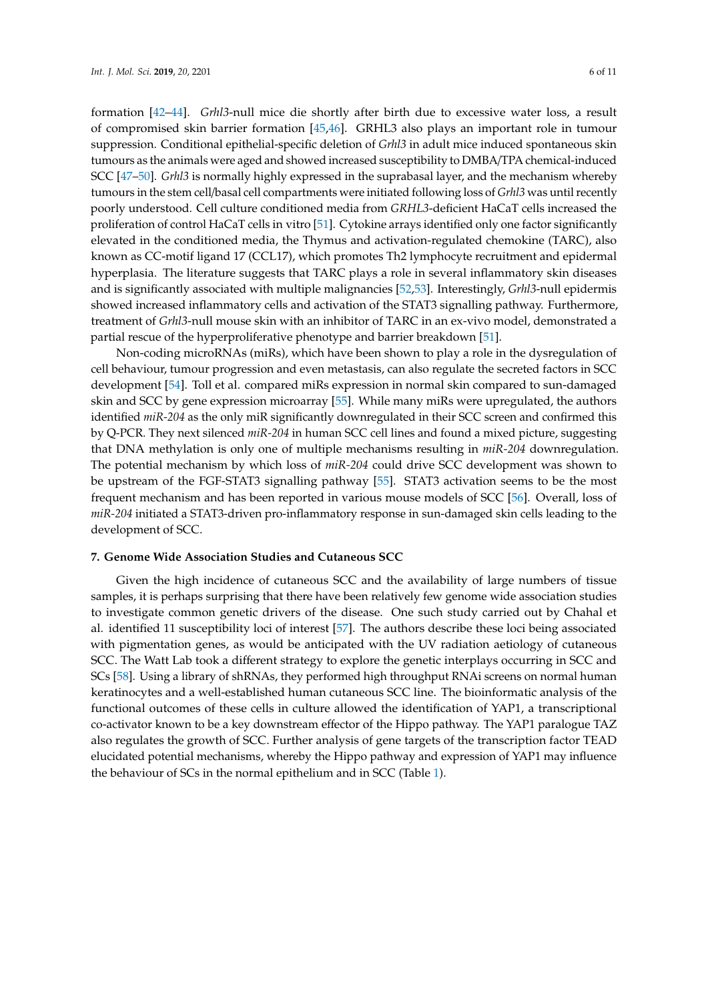formation [\[42–](#page-9-6)[44\]](#page-9-7). *Grhl3*-null mice die shortly after birth due to excessive water loss, a result of compromised skin barrier formation [\[45](#page-9-8)[,46\]](#page-9-9). GRHL3 also plays an important role in tumour suppression. Conditional epithelial-specific deletion of *Grhl3* in adult mice induced spontaneous skin tumours as the animals were aged and showed increased susceptibility to DMBA/TPA chemical-induced SCC [\[47](#page-9-10)[–50\]](#page-9-11). *Grhl3* is normally highly expressed in the suprabasal layer, and the mechanism whereby tumours in the stem cell/basal cell compartments were initiated following loss of *Grhl3* was until recently poorly understood. Cell culture conditioned media from *GRHL3*-deficient HaCaT cells increased the proliferation of control HaCaT cells in vitro [\[51\]](#page-9-12). Cytokine arrays identified only one factor significantly elevated in the conditioned media, the Thymus and activation-regulated chemokine (TARC), also known as CC-motif ligand 17 (CCL17), which promotes Th2 lymphocyte recruitment and epidermal hyperplasia. The literature suggests that TARC plays a role in several inflammatory skin diseases and is significantly associated with multiple malignancies [\[52,](#page-9-13)[53\]](#page-9-14). Interestingly, *Grhl3*-null epidermis showed increased inflammatory cells and activation of the STAT3 signalling pathway. Furthermore, treatment of *Grhl3*-null mouse skin with an inhibitor of TARC in an ex-vivo model, demonstrated a partial rescue of the hyperproliferative phenotype and barrier breakdown [\[51\]](#page-9-12).

Non-coding microRNAs (miRs), which have been shown to play a role in the dysregulation of cell behaviour, tumour progression and even metastasis, can also regulate the secreted factors in SCC development [\[54\]](#page-9-15). Toll et al. compared miRs expression in normal skin compared to sun-damaged skin and SCC by gene expression microarray [\[55\]](#page-9-16). While many miRs were upregulated, the authors identified *miR-204* as the only miR significantly downregulated in their SCC screen and confirmed this by Q-PCR. They next silenced *miR-204* in human SCC cell lines and found a mixed picture, suggesting that DNA methylation is only one of multiple mechanisms resulting in *miR-204* downregulation. The potential mechanism by which loss of *miR-204* could drive SCC development was shown to be upstream of the FGF-STAT3 signalling pathway [\[55\]](#page-9-16). STAT3 activation seems to be the most frequent mechanism and has been reported in various mouse models of SCC [\[56\]](#page-9-17). Overall, loss of *miR-204* initiated a STAT3-driven pro-inflammatory response in sun-damaged skin cells leading to the development of SCC.

#### **7. Genome Wide Association Studies and Cutaneous SCC**

Given the high incidence of cutaneous SCC and the availability of large numbers of tissue samples, it is perhaps surprising that there have been relatively few genome wide association studies to investigate common genetic drivers of the disease. One such study carried out by Chahal et al. identified 11 susceptibility loci of interest [\[57\]](#page-9-18). The authors describe these loci being associated with pigmentation genes, as would be anticipated with the UV radiation aetiology of cutaneous SCC. The Watt Lab took a different strategy to explore the genetic interplays occurring in SCC and SCs [\[58\]](#page-10-0). Using a library of shRNAs, they performed high throughput RNAi screens on normal human keratinocytes and a well-established human cutaneous SCC line. The bioinformatic analysis of the functional outcomes of these cells in culture allowed the identification of YAP1, a transcriptional co-activator known to be a key downstream effector of the Hippo pathway. The YAP1 paralogue TAZ also regulates the growth of SCC. Further analysis of gene targets of the transcription factor TEAD elucidated potential mechanisms, whereby the Hippo pathway and expression of YAP1 may influence the behaviour of SCs in the normal epithelium and in SCC (Table [1\)](#page-6-0).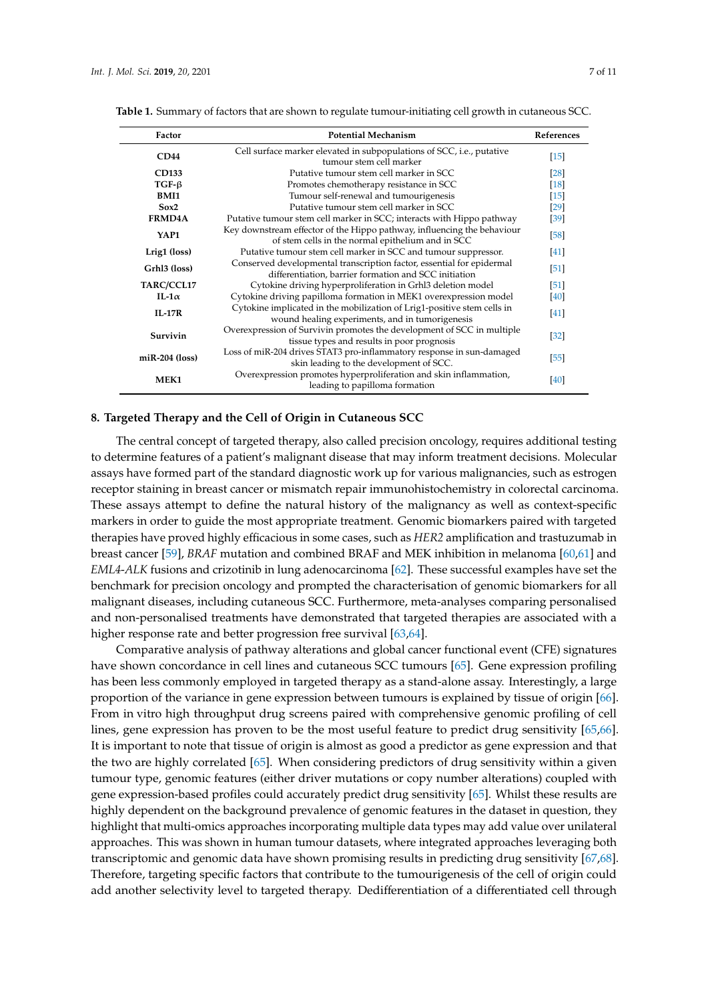| Factor           | <b>Potential Mechanism</b>                                                                                                     | References        |
|------------------|--------------------------------------------------------------------------------------------------------------------------------|-------------------|
| CD44             | Cell surface marker elevated in subpopulations of SCC, i.e., putative<br>tumour stem cell marker                               | $[15]$            |
| CD133            | Putative tumour stem cell marker in SCC.                                                                                       | $\left[28\right]$ |
| $TGF-\beta$      | Promotes chemotherapy resistance in SCC                                                                                        | $[18]$            |
| BMI <sub>1</sub> | Tumour self-renewal and tumourigenesis                                                                                         | $[15]$            |
| Sox2             | Putative tumour stem cell marker in SCC                                                                                        | $\left[29\right]$ |
| <b>FRMD4A</b>    | Putative tumour stem cell marker in SCC; interacts with Hippo pathway                                                          | $[39]$            |
| YAP1             | Key downstream effector of the Hippo pathway, influencing the behaviour<br>of stem cells in the normal epithelium and in SCC   | [58]              |
| Lrig1 (loss)     | Putative tumour stem cell marker in SCC and tumour suppressor.                                                                 | $[41]$            |
| Grhl3 (loss)     | Conserved developmental transcription factor, essential for epidermal<br>differentiation, barrier formation and SCC initiation | $\left[51\right]$ |
| TARC/CCL17       | Cytokine driving hyperproliferation in Grhl3 deletion model                                                                    | $\left[51\right]$ |
| IL-1 $\alpha$    | Cytokine driving papilloma formation in MEK1 overexpression model                                                              | $[40]$            |
| $IL-17R$         | Cytokine implicated in the mobilization of Lrig1-positive stem cells in<br>wound healing experiments, and in tumorigenesis     | $\left[41\right]$ |
| Survivin         | Overexpression of Survivin promotes the development of SCC in multiple<br>tissue types and results in poor prognosis           | $[32]$            |
| $miR-204$ (loss) | Loss of miR-204 drives STAT3 pro-inflammatory response in sun-damaged<br>skin leading to the development of SCC.               | [55]              |
| <b>MEK1</b>      | Overexpression promotes hyperproliferation and skin inflammation,<br>leading to papilloma formation                            | $[40]$            |

<span id="page-6-0"></span>**Table 1.** Summary of factors that are shown to regulate tumour-initiating cell growth in cutaneous SCC.

#### **8. Targeted Therapy and the Cell of Origin in Cutaneous SCC**

The central concept of targeted therapy, also called precision oncology, requires additional testing to determine features of a patient's malignant disease that may inform treatment decisions. Molecular assays have formed part of the standard diagnostic work up for various malignancies, such as estrogen receptor staining in breast cancer or mismatch repair immunohistochemistry in colorectal carcinoma. These assays attempt to define the natural history of the malignancy as well as context-specific markers in order to guide the most appropriate treatment. Genomic biomarkers paired with targeted therapies have proved highly efficacious in some cases, such as *HER2* amplification and trastuzumab in breast cancer [\[59\]](#page-10-1), *BRAF* mutation and combined BRAF and MEK inhibition in melanoma [\[60](#page-10-2)[,61\]](#page-10-3) and *EML4*-*ALK* fusions and crizotinib in lung adenocarcinoma [\[62\]](#page-10-4). These successful examples have set the benchmark for precision oncology and prompted the characterisation of genomic biomarkers for all malignant diseases, including cutaneous SCC. Furthermore, meta-analyses comparing personalised and non-personalised treatments have demonstrated that targeted therapies are associated with a higher response rate and better progression free survival [\[63](#page-10-5)[,64\]](#page-10-6).

Comparative analysis of pathway alterations and global cancer functional event (CFE) signatures have shown concordance in cell lines and cutaneous SCC tumours [\[65\]](#page-10-7). Gene expression profiling has been less commonly employed in targeted therapy as a stand-alone assay. Interestingly, a large proportion of the variance in gene expression between tumours is explained by tissue of origin [\[66\]](#page-10-8). From in vitro high throughput drug screens paired with comprehensive genomic profiling of cell lines, gene expression has proven to be the most useful feature to predict drug sensitivity [\[65,](#page-10-7)[66\]](#page-10-8). It is important to note that tissue of origin is almost as good a predictor as gene expression and that the two are highly correlated [\[65\]](#page-10-7). When considering predictors of drug sensitivity within a given tumour type, genomic features (either driver mutations or copy number alterations) coupled with gene expression-based profiles could accurately predict drug sensitivity [\[65\]](#page-10-7). Whilst these results are highly dependent on the background prevalence of genomic features in the dataset in question, they highlight that multi-omics approaches incorporating multiple data types may add value over unilateral approaches. This was shown in human tumour datasets, where integrated approaches leveraging both transcriptomic and genomic data have shown promising results in predicting drug sensitivity [\[67,](#page-10-9)[68\]](#page-10-10). Therefore, targeting specific factors that contribute to the tumourigenesis of the cell of origin could add another selectivity level to targeted therapy. Dedifferentiation of a differentiated cell through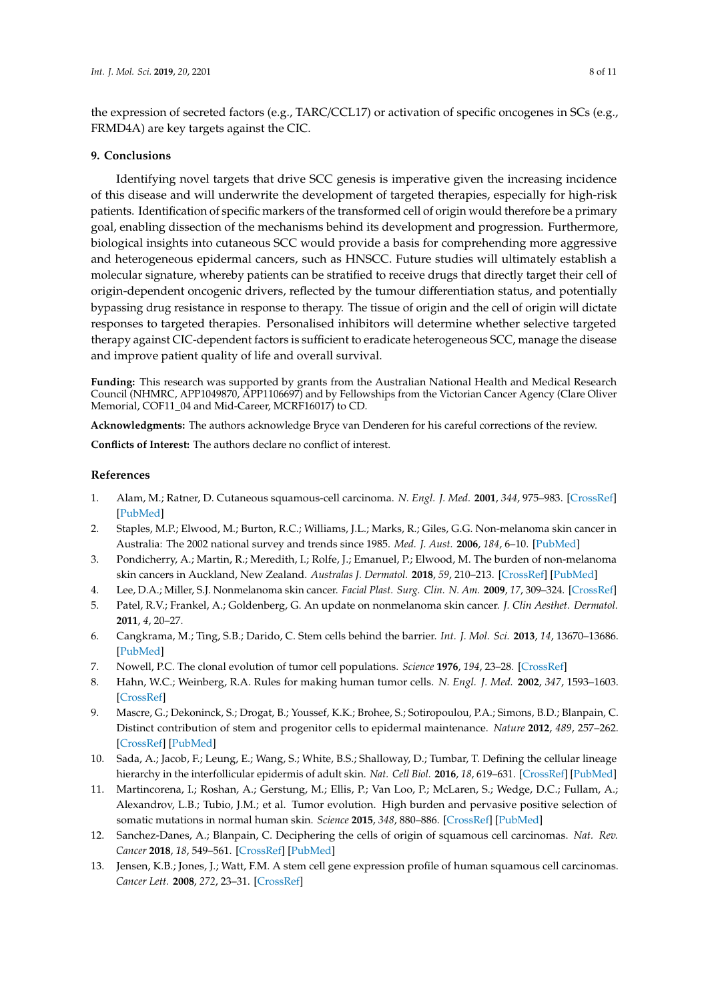the expression of secreted factors (e.g., TARC/CCL17) or activation of specific oncogenes in SCs (e.g., FRMD4A) are key targets against the CIC.

## **9. Conclusions**

Identifying novel targets that drive SCC genesis is imperative given the increasing incidence of this disease and will underwrite the development of targeted therapies, especially for high-risk patients. Identification of specific markers of the transformed cell of origin would therefore be a primary goal, enabling dissection of the mechanisms behind its development and progression. Furthermore, biological insights into cutaneous SCC would provide a basis for comprehending more aggressive and heterogeneous epidermal cancers, such as HNSCC. Future studies will ultimately establish a molecular signature, whereby patients can be stratified to receive drugs that directly target their cell of origin-dependent oncogenic drivers, reflected by the tumour differentiation status, and potentially bypassing drug resistance in response to therapy. The tissue of origin and the cell of origin will dictate responses to targeted therapies. Personalised inhibitors will determine whether selective targeted therapy against CIC-dependent factors is sufficient to eradicate heterogeneous SCC, manage the disease and improve patient quality of life and overall survival.

**Funding:** This research was supported by grants from the Australian National Health and Medical Research Council (NHMRC, APP1049870, APP1106697) and by Fellowships from the Victorian Cancer Agency (Clare Oliver Memorial, COF11\_04 and Mid-Career, MCRF16017) to CD.

**Acknowledgments:** The authors acknowledge Bryce van Denderen for his careful corrections of the review.

**Conflicts of Interest:** The authors declare no conflict of interest.

### **References**

- <span id="page-7-0"></span>1. Alam, M.; Ratner, D. Cutaneous squamous-cell carcinoma. *N. Engl. J. Med.* **2001**, *344*, 975–983. [\[CrossRef\]](http://dx.doi.org/10.1056/NEJM200103293441306) [\[PubMed\]](http://www.ncbi.nlm.nih.gov/pubmed/11274625)
- <span id="page-7-1"></span>2. Staples, M.P.; Elwood, M.; Burton, R.C.; Williams, J.L.; Marks, R.; Giles, G.G. Non-melanoma skin cancer in Australia: The 2002 national survey and trends since 1985. *Med. J. Aust.* **2006**, *184*, 6–10. [\[PubMed\]](http://www.ncbi.nlm.nih.gov/pubmed/16398622)
- <span id="page-7-2"></span>3. Pondicherry, A.; Martin, R.; Meredith, I.; Rolfe, J.; Emanuel, P.; Elwood, M. The burden of non-melanoma skin cancers in Auckland, New Zealand. *Australas J. Dermatol.* **2018**, *59*, 210–213. [\[CrossRef\]](http://dx.doi.org/10.1111/ajd.12751) [\[PubMed\]](http://www.ncbi.nlm.nih.gov/pubmed/29350397)
- <span id="page-7-3"></span>4. Lee, D.A.; Miller, S.J. Nonmelanoma skin cancer. *Facial Plast. Surg. Clin. N. Am.* **2009**, *17*, 309–324. [\[CrossRef\]](http://dx.doi.org/10.1016/j.fsc.2009.04.004)
- <span id="page-7-4"></span>5. Patel, R.V.; Frankel, A.; Goldenberg, G. An update on nonmelanoma skin cancer. *J. Clin Aesthet. Dermatol.* **2011**, *4*, 20–27.
- <span id="page-7-5"></span>6. Cangkrama, M.; Ting, S.B.; Darido, C. Stem cells behind the barrier. *Int. J. Mol. Sci.* **2013**, *14*, 13670–13686. [\[PubMed\]](http://www.ncbi.nlm.nih.gov/pubmed/23812084)
- <span id="page-7-6"></span>7. Nowell, P.C. The clonal evolution of tumor cell populations. *Science* **1976**, *194*, 23–28. [\[CrossRef\]](http://dx.doi.org/10.1126/science.959840)
- <span id="page-7-7"></span>8. Hahn, W.C.; Weinberg, R.A. Rules for making human tumor cells. *N. Engl. J. Med.* **2002**, *347*, 1593–1603. [\[CrossRef\]](http://dx.doi.org/10.1056/NEJMra021902)
- <span id="page-7-8"></span>9. Mascre, G.; Dekoninck, S.; Drogat, B.; Youssef, K.K.; Brohee, S.; Sotiropoulou, P.A.; Simons, B.D.; Blanpain, C. Distinct contribution of stem and progenitor cells to epidermal maintenance. *Nature* **2012**, *489*, 257–262. [\[CrossRef\]](http://dx.doi.org/10.1038/nature11393) [\[PubMed\]](http://www.ncbi.nlm.nih.gov/pubmed/22940863)
- <span id="page-7-9"></span>10. Sada, A.; Jacob, F.; Leung, E.; Wang, S.; White, B.S.; Shalloway, D.; Tumbar, T. Defining the cellular lineage hierarchy in the interfollicular epidermis of adult skin. *Nat. Cell Biol.* **2016**, *18*, 619–631. [\[CrossRef\]](http://dx.doi.org/10.1038/ncb3359) [\[PubMed\]](http://www.ncbi.nlm.nih.gov/pubmed/27183471)
- <span id="page-7-10"></span>11. Martincorena, I.; Roshan, A.; Gerstung, M.; Ellis, P.; Van Loo, P.; McLaren, S.; Wedge, D.C.; Fullam, A.; Alexandrov, L.B.; Tubio, J.M.; et al. Tumor evolution. High burden and pervasive positive selection of somatic mutations in normal human skin. *Science* **2015**, *348*, 880–886. [\[CrossRef\]](http://dx.doi.org/10.1126/science.aaa6806) [\[PubMed\]](http://www.ncbi.nlm.nih.gov/pubmed/25999502)
- <span id="page-7-11"></span>12. Sanchez-Danes, A.; Blanpain, C. Deciphering the cells of origin of squamous cell carcinomas. *Nat. Rev. Cancer* **2018**, *18*, 549–561. [\[CrossRef\]](http://dx.doi.org/10.1038/s41568-018-0024-5) [\[PubMed\]](http://www.ncbi.nlm.nih.gov/pubmed/29849070)
- <span id="page-7-12"></span>13. Jensen, K.B.; Jones, J.; Watt, F.M. A stem cell gene expression profile of human squamous cell carcinomas. *Cancer Lett.* **2008**, *272*, 23–31. [\[CrossRef\]](http://dx.doi.org/10.1016/j.canlet.2008.06.014)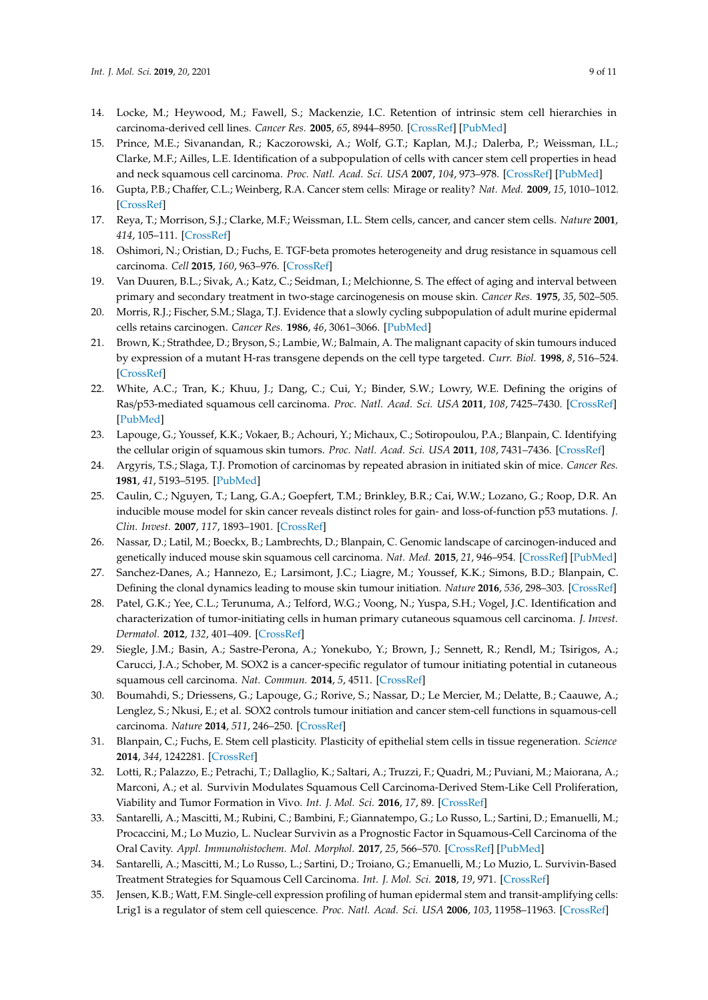- <span id="page-8-0"></span>14. Locke, M.; Heywood, M.; Fawell, S.; Mackenzie, I.C. Retention of intrinsic stem cell hierarchies in carcinoma-derived cell lines. *Cancer Res.* **2005**, *65*, 8944–8950. [\[CrossRef\]](http://dx.doi.org/10.1158/0008-5472.CAN-05-0931) [\[PubMed\]](http://www.ncbi.nlm.nih.gov/pubmed/16204067)
- <span id="page-8-1"></span>15. Prince, M.E.; Sivanandan, R.; Kaczorowski, A.; Wolf, G.T.; Kaplan, M.J.; Dalerba, P.; Weissman, I.L.; Clarke, M.F.; Ailles, L.E. Identification of a subpopulation of cells with cancer stem cell properties in head and neck squamous cell carcinoma. *Proc. Natl. Acad. Sci. USA* **2007**, *104*, 973–978. [\[CrossRef\]](http://dx.doi.org/10.1073/pnas.0610117104) [\[PubMed\]](http://www.ncbi.nlm.nih.gov/pubmed/17210912)
- <span id="page-8-2"></span>16. Gupta, P.B.; Chaffer, C.L.; Weinberg, R.A. Cancer stem cells: Mirage or reality? *Nat. Med.* **2009**, *15*, 1010–1012. [\[CrossRef\]](http://dx.doi.org/10.1038/nm0909-1010)
- <span id="page-8-3"></span>17. Reya, T.; Morrison, S.J.; Clarke, M.F.; Weissman, I.L. Stem cells, cancer, and cancer stem cells. *Nature* **2001**, *414*, 105–111. [\[CrossRef\]](http://dx.doi.org/10.1038/35102167)
- <span id="page-8-4"></span>18. Oshimori, N.; Oristian, D.; Fuchs, E. TGF-beta promotes heterogeneity and drug resistance in squamous cell carcinoma. *Cell* **2015**, *160*, 963–976. [\[CrossRef\]](http://dx.doi.org/10.1016/j.cell.2015.01.043)
- <span id="page-8-5"></span>19. Van Duuren, B.L.; Sivak, A.; Katz, C.; Seidman, I.; Melchionne, S. The effect of aging and interval between primary and secondary treatment in two-stage carcinogenesis on mouse skin. *Cancer Res.* **1975**, *35*, 502–505.
- <span id="page-8-6"></span>20. Morris, R.J.; Fischer, S.M.; Slaga, T.J. Evidence that a slowly cycling subpopulation of adult murine epidermal cells retains carcinogen. *Cancer Res.* **1986**, *46*, 3061–3066. [\[PubMed\]](http://www.ncbi.nlm.nih.gov/pubmed/3698024)
- <span id="page-8-7"></span>21. Brown, K.; Strathdee, D.; Bryson, S.; Lambie, W.; Balmain, A. The malignant capacity of skin tumours induced by expression of a mutant H-ras transgene depends on the cell type targeted. *Curr. Biol.* **1998**, *8*, 516–524. [\[CrossRef\]](http://dx.doi.org/10.1016/S0960-9822(98)70203-9)
- <span id="page-8-8"></span>22. White, A.C.; Tran, K.; Khuu, J.; Dang, C.; Cui, Y.; Binder, S.W.; Lowry, W.E. Defining the origins of Ras/p53-mediated squamous cell carcinoma. *Proc. Natl. Acad. Sci. USA* **2011**, *108*, 7425–7430. [\[CrossRef\]](http://dx.doi.org/10.1073/pnas.1012670108) [\[PubMed\]](http://www.ncbi.nlm.nih.gov/pubmed/21502519)
- <span id="page-8-9"></span>23. Lapouge, G.; Youssef, K.K.; Vokaer, B.; Achouri, Y.; Michaux, C.; Sotiropoulou, P.A.; Blanpain, C. Identifying the cellular origin of squamous skin tumors. *Proc. Natl. Acad. Sci. USA* **2011**, *108*, 7431–7436. [\[CrossRef\]](http://dx.doi.org/10.1073/pnas.1012720108)
- <span id="page-8-10"></span>24. Argyris, T.S.; Slaga, T.J. Promotion of carcinomas by repeated abrasion in initiated skin of mice. *Cancer Res.* **1981**, *41*, 5193–5195. [\[PubMed\]](http://www.ncbi.nlm.nih.gov/pubmed/7307015)
- <span id="page-8-11"></span>25. Caulin, C.; Nguyen, T.; Lang, G.A.; Goepfert, T.M.; Brinkley, B.R.; Cai, W.W.; Lozano, G.; Roop, D.R. An inducible mouse model for skin cancer reveals distinct roles for gain- and loss-of-function p53 mutations. *J. Clin. Invest.* **2007**, *117*, 1893–1901. [\[CrossRef\]](http://dx.doi.org/10.1172/JCI31721)
- <span id="page-8-12"></span>26. Nassar, D.; Latil, M.; Boeckx, B.; Lambrechts, D.; Blanpain, C. Genomic landscape of carcinogen-induced and genetically induced mouse skin squamous cell carcinoma. *Nat. Med.* **2015**, *21*, 946–954. [\[CrossRef\]](http://dx.doi.org/10.1038/nm.3878) [\[PubMed\]](http://www.ncbi.nlm.nih.gov/pubmed/26168291)
- <span id="page-8-13"></span>27. Sanchez-Danes, A.; Hannezo, E.; Larsimont, J.C.; Liagre, M.; Youssef, K.K.; Simons, B.D.; Blanpain, C. Defining the clonal dynamics leading to mouse skin tumour initiation. *Nature* **2016**, *536*, 298–303. [\[CrossRef\]](http://dx.doi.org/10.1038/nature19069)
- <span id="page-8-14"></span>28. Patel, G.K.; Yee, C.L.; Terunuma, A.; Telford, W.G.; Voong, N.; Yuspa, S.H.; Vogel, J.C. Identification and characterization of tumor-initiating cells in human primary cutaneous squamous cell carcinoma. *J. Invest. Dermatol.* **2012**, *132*, 401–409. [\[CrossRef\]](http://dx.doi.org/10.1038/jid.2011.317)
- <span id="page-8-15"></span>29. Siegle, J.M.; Basin, A.; Sastre-Perona, A.; Yonekubo, Y.; Brown, J.; Sennett, R.; Rendl, M.; Tsirigos, A.; Carucci, J.A.; Schober, M. SOX2 is a cancer-specific regulator of tumour initiating potential in cutaneous squamous cell carcinoma. *Nat. Commun.* **2014**, *5*, 4511. [\[CrossRef\]](http://dx.doi.org/10.1038/ncomms5511)
- <span id="page-8-16"></span>30. Boumahdi, S.; Driessens, G.; Lapouge, G.; Rorive, S.; Nassar, D.; Le Mercier, M.; Delatte, B.; Caauwe, A.; Lenglez, S.; Nkusi, E.; et al. SOX2 controls tumour initiation and cancer stem-cell functions in squamous-cell carcinoma. *Nature* **2014**, *511*, 246–250. [\[CrossRef\]](http://dx.doi.org/10.1038/nature13305)
- <span id="page-8-17"></span>31. Blanpain, C.; Fuchs, E. Stem cell plasticity. Plasticity of epithelial stem cells in tissue regeneration. *Science* **2014**, *344*, 1242281. [\[CrossRef\]](http://dx.doi.org/10.1126/science.1242281)
- <span id="page-8-18"></span>32. Lotti, R.; Palazzo, E.; Petrachi, T.; Dallaglio, K.; Saltari, A.; Truzzi, F.; Quadri, M.; Puviani, M.; Maiorana, A.; Marconi, A.; et al. Survivin Modulates Squamous Cell Carcinoma-Derived Stem-Like Cell Proliferation, Viability and Tumor Formation in Vivo. *Int. J. Mol. Sci.* **2016**, *17*, 89. [\[CrossRef\]](http://dx.doi.org/10.3390/ijms17010089)
- <span id="page-8-19"></span>33. Santarelli, A.; Mascitti, M.; Rubini, C.; Bambini, F.; Giannatempo, G.; Lo Russo, L.; Sartini, D.; Emanuelli, M.; Procaccini, M.; Lo Muzio, L. Nuclear Survivin as a Prognostic Factor in Squamous-Cell Carcinoma of the Oral Cavity. *Appl. Immunohistochem. Mol. Morphol.* **2017**, *25*, 566–570. [\[CrossRef\]](http://dx.doi.org/10.1097/PAI.0000000000000336) [\[PubMed\]](http://www.ncbi.nlm.nih.gov/pubmed/27389554)
- <span id="page-8-20"></span>34. Santarelli, A.; Mascitti, M.; Lo Russo, L.; Sartini, D.; Troiano, G.; Emanuelli, M.; Lo Muzio, L. Survivin-Based Treatment Strategies for Squamous Cell Carcinoma. *Int. J. Mol. Sci.* **2018**, *19*, 971. [\[CrossRef\]](http://dx.doi.org/10.3390/ijms19040971)
- <span id="page-8-21"></span>35. Jensen, K.B.; Watt, F.M. Single-cell expression profiling of human epidermal stem and transit-amplifying cells: Lrig1 is a regulator of stem cell quiescence. *Proc. Natl. Acad. Sci. USA* **2006**, *103*, 11958–11963. [\[CrossRef\]](http://dx.doi.org/10.1073/pnas.0601886103)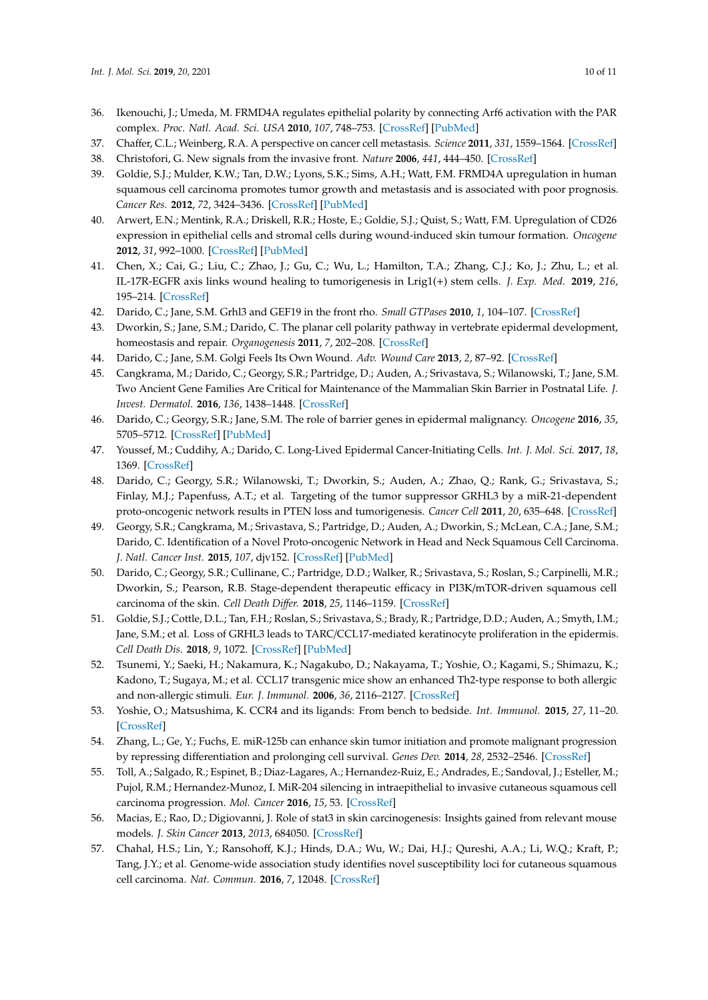- <span id="page-9-0"></span>36. Ikenouchi, J.; Umeda, M. FRMD4A regulates epithelial polarity by connecting Arf6 activation with the PAR complex. *Proc. Natl. Acad. Sci. USA* **2010**, *107*, 748–753. [\[CrossRef\]](http://dx.doi.org/10.1073/pnas.0908423107) [\[PubMed\]](http://www.ncbi.nlm.nih.gov/pubmed/20080746)
- <span id="page-9-1"></span>37. Chaffer, C.L.; Weinberg, R.A. A perspective on cancer cell metastasis. *Science* **2011**, *331*, 1559–1564. [\[CrossRef\]](http://dx.doi.org/10.1126/science.1203543)
- <span id="page-9-2"></span>38. Christofori, G. New signals from the invasive front. *Nature* **2006**, *441*, 444–450. [\[CrossRef\]](http://dx.doi.org/10.1038/nature04872)
- <span id="page-9-3"></span>39. Goldie, S.J.; Mulder, K.W.; Tan, D.W.; Lyons, S.K.; Sims, A.H.; Watt, F.M. FRMD4A upregulation in human squamous cell carcinoma promotes tumor growth and metastasis and is associated with poor prognosis. *Cancer Res.* **2012**, *72*, 3424–3436. [\[CrossRef\]](http://dx.doi.org/10.1158/0008-5472.CAN-12-0423) [\[PubMed\]](http://www.ncbi.nlm.nih.gov/pubmed/22564525)
- <span id="page-9-4"></span>40. Arwert, E.N.; Mentink, R.A.; Driskell, R.R.; Hoste, E.; Goldie, S.J.; Quist, S.; Watt, F.M. Upregulation of CD26 expression in epithelial cells and stromal cells during wound-induced skin tumour formation. *Oncogene* **2012**, *31*, 992–1000. [\[CrossRef\]](http://dx.doi.org/10.1038/onc.2011.298) [\[PubMed\]](http://www.ncbi.nlm.nih.gov/pubmed/21765471)
- <span id="page-9-5"></span>41. Chen, X.; Cai, G.; Liu, C.; Zhao, J.; Gu, C.; Wu, L.; Hamilton, T.A.; Zhang, C.J.; Ko, J.; Zhu, L.; et al. IL-17R-EGFR axis links wound healing to tumorigenesis in Lrig1(+) stem cells. *J. Exp. Med.* **2019**, *216*, 195–214. [\[CrossRef\]](http://dx.doi.org/10.1084/jem.20171849)
- <span id="page-9-6"></span>42. Darido, C.; Jane, S.M. Grhl3 and GEF19 in the front rho. *Small GTPases* **2010**, *1*, 104–107. [\[CrossRef\]](http://dx.doi.org/10.4161/sgtp.1.2.13620)
- 43. Dworkin, S.; Jane, S.M.; Darido, C. The planar cell polarity pathway in vertebrate epidermal development, homeostasis and repair. *Organogenesis* **2011**, *7*, 202–208. [\[CrossRef\]](http://dx.doi.org/10.4161/org.7.3.18431)
- <span id="page-9-7"></span>44. Darido, C.; Jane, S.M. Golgi Feels Its Own Wound. *Adv. Wound Care* **2013**, *2*, 87–92. [\[CrossRef\]](http://dx.doi.org/10.1089/wound.2011.0352)
- <span id="page-9-8"></span>45. Cangkrama, M.; Darido, C.; Georgy, S.R.; Partridge, D.; Auden, A.; Srivastava, S.; Wilanowski, T.; Jane, S.M. Two Ancient Gene Families Are Critical for Maintenance of the Mammalian Skin Barrier in Postnatal Life. *J. Invest. Dermatol.* **2016**, *136*, 1438–1448. [\[CrossRef\]](http://dx.doi.org/10.1016/j.jid.2016.02.806)
- <span id="page-9-9"></span>46. Darido, C.; Georgy, S.R.; Jane, S.M. The role of barrier genes in epidermal malignancy. *Oncogene* **2016**, *35*, 5705–5712. [\[CrossRef\]](http://dx.doi.org/10.1038/onc.2016.84) [\[PubMed\]](http://www.ncbi.nlm.nih.gov/pubmed/27041586)
- <span id="page-9-10"></span>47. Youssef, M.; Cuddihy, A.; Darido, C. Long-Lived Epidermal Cancer-Initiating Cells. *Int. J. Mol. Sci.* **2017**, *18*, 1369. [\[CrossRef\]](http://dx.doi.org/10.3390/ijms18071369)
- 48. Darido, C.; Georgy, S.R.; Wilanowski, T.; Dworkin, S.; Auden, A.; Zhao, Q.; Rank, G.; Srivastava, S.; Finlay, M.J.; Papenfuss, A.T.; et al. Targeting of the tumor suppressor GRHL3 by a miR-21-dependent proto-oncogenic network results in PTEN loss and tumorigenesis. *Cancer Cell* **2011**, *20*, 635–648. [\[CrossRef\]](http://dx.doi.org/10.1016/j.ccr.2011.10.014)
- 49. Georgy, S.R.; Cangkrama, M.; Srivastava, S.; Partridge, D.; Auden, A.; Dworkin, S.; McLean, C.A.; Jane, S.M.; Darido, C. Identification of a Novel Proto-oncogenic Network in Head and Neck Squamous Cell Carcinoma. *J. Natl. Cancer Inst.* **2015**, *107*, djv152. [\[CrossRef\]](http://dx.doi.org/10.1093/jnci/djv152) [\[PubMed\]](http://www.ncbi.nlm.nih.gov/pubmed/26063791)
- <span id="page-9-11"></span>50. Darido, C.; Georgy, S.R.; Cullinane, C.; Partridge, D.D.; Walker, R.; Srivastava, S.; Roslan, S.; Carpinelli, M.R.; Dworkin, S.; Pearson, R.B. Stage-dependent therapeutic efficacy in PI3K/mTOR-driven squamous cell carcinoma of the skin. *Cell Death Di*ff*er.* **2018**, *25*, 1146–1159. [\[CrossRef\]](http://dx.doi.org/10.1038/s41418-017-0032-0)
- <span id="page-9-12"></span>51. Goldie, S.J.; Cottle, D.L.; Tan, F.H.; Roslan, S.; Srivastava, S.; Brady, R.; Partridge, D.D.; Auden, A.; Smyth, I.M.; Jane, S.M.; et al. Loss of GRHL3 leads to TARC/CCL17-mediated keratinocyte proliferation in the epidermis. *Cell Death Dis.* **2018**, *9*, 1072. [\[CrossRef\]](http://dx.doi.org/10.1038/s41419-018-0901-6) [\[PubMed\]](http://www.ncbi.nlm.nih.gov/pubmed/30341279)
- <span id="page-9-13"></span>52. Tsunemi, Y.; Saeki, H.; Nakamura, K.; Nagakubo, D.; Nakayama, T.; Yoshie, O.; Kagami, S.; Shimazu, K.; Kadono, T.; Sugaya, M.; et al. CCL17 transgenic mice show an enhanced Th2-type response to both allergic and non-allergic stimuli. *Eur. J. Immunol.* **2006**, *36*, 2116–2127. [\[CrossRef\]](http://dx.doi.org/10.1002/eji.200535564)
- <span id="page-9-14"></span>53. Yoshie, O.; Matsushima, K. CCR4 and its ligands: From bench to bedside. *Int. Immunol.* **2015**, *27*, 11–20. [\[CrossRef\]](http://dx.doi.org/10.1093/intimm/dxu079)
- <span id="page-9-15"></span>54. Zhang, L.; Ge, Y.; Fuchs, E. miR-125b can enhance skin tumor initiation and promote malignant progression by repressing differentiation and prolonging cell survival. *Genes Dev.* **2014**, *28*, 2532–2546. [\[CrossRef\]](http://dx.doi.org/10.1101/gad.248377.114)
- <span id="page-9-16"></span>55. Toll, A.; Salgado, R.; Espinet, B.; Diaz-Lagares, A.; Hernandez-Ruiz, E.; Andrades, E.; Sandoval, J.; Esteller, M.; Pujol, R.M.; Hernandez-Munoz, I. MiR-204 silencing in intraepithelial to invasive cutaneous squamous cell carcinoma progression. *Mol. Cancer* **2016**, *15*, 53. [\[CrossRef\]](http://dx.doi.org/10.1186/s12943-016-0537-z)
- <span id="page-9-17"></span>56. Macias, E.; Rao, D.; Digiovanni, J. Role of stat3 in skin carcinogenesis: Insights gained from relevant mouse models. *J. Skin Cancer* **2013**, *2013*, 684050. [\[CrossRef\]](http://dx.doi.org/10.1155/2013/684050)
- <span id="page-9-18"></span>57. Chahal, H.S.; Lin, Y.; Ransohoff, K.J.; Hinds, D.A.; Wu, W.; Dai, H.J.; Qureshi, A.A.; Li, W.Q.; Kraft, P.; Tang, J.Y.; et al. Genome-wide association study identifies novel susceptibility loci for cutaneous squamous cell carcinoma. *Nat. Commun.* **2016**, *7*, 12048. [\[CrossRef\]](http://dx.doi.org/10.1038/ncomms12048)